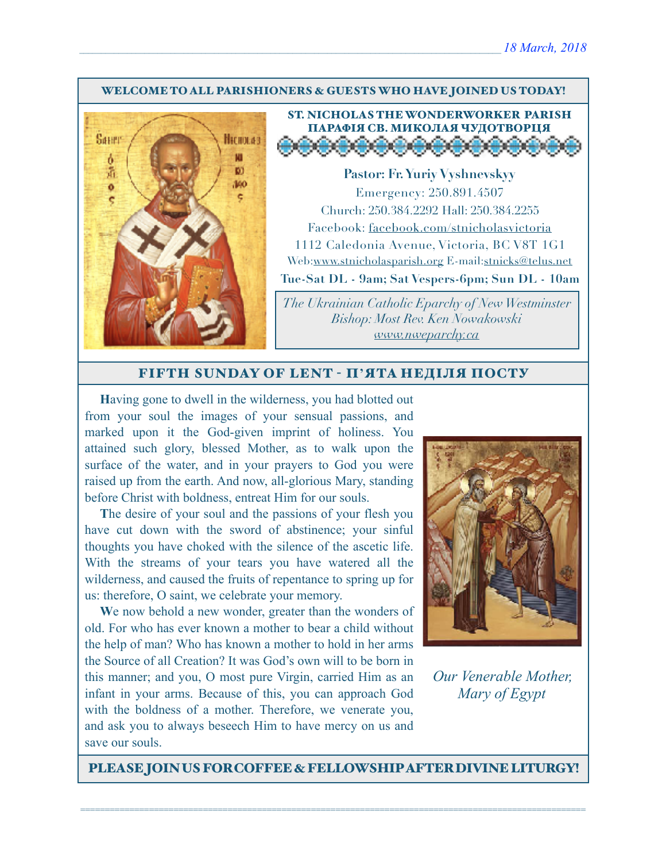#### WELCOME TO ALL PARISHIONERS & GUESTS WHO HAVE JOINED US TODAY!



## ST. NICHOLAS THE WONDERWORKER PARISH ПАРАФІЯ СВ. МИКОЛАЯ ЧУДОТВОРЦЯ <u>r de de de de de de de de d</u>

**Pastor: Fr. Yuriy Vyshnevskyy** Emergency: 250.891.4507 Church: 250.384.2292 Hall: 250.384.2255 Facebook: facebook.com/stnicholasvictoria 1112 Caledonia Avenue, Victoria, BC V8T 1G1 Web[:www.stnicholasparish.org](http://www.stnicholasparish.org) E-mail:[stnicks@telus.net](mailto:stnicks@telus.net) **Tue-Sat DL - 9am; Sat Vespers-6pm; Sun DL - 10am**

*The Ukrainian Catholic Eparchy of New Westminster Bishop: Most Rev. Ken Nowakowski [www.nweparchy.ca](http://www.nweparchy.ca)*

### FIFTH SUNDAY OF LENT - П**'**ЯТА НЕДІЛЯ ПОСТУ

**H**aving gone to dwell in the wilderness, you had blotted out from your soul the images of your sensual passions, and marked upon it the God-given imprint of holiness. You attained such glory, blessed Mother, as to walk upon the surface of the water, and in your prayers to God you were raised up from the earth. And now, all-glorious Mary, standing before Christ with boldness, entreat Him for our souls.

**T**he desire of your soul and the passions of your flesh you have cut down with the sword of abstinence; your sinful thoughts you have choked with the silence of the ascetic life. With the streams of your tears you have watered all the wilderness, and caused the fruits of repentance to spring up for us: therefore, O saint, we celebrate your memory.

**W**e now behold a new wonder, greater than the wonders of old. For who has ever known a mother to bear a child without the help of man? Who has known a mother to hold in her arms the Source of all Creation? It was God's own will to be born in this manner; and you, O most pure Virgin, carried Him as an infant in your arms. Because of this, you can approach God with the boldness of a mother. Therefore, we venerate you, and ask you to always beseech Him to have mercy on us and save our souls.



*Our Venerable Mother, Mary of Egypt*

PLEASE JOIN US FOR COFFEE & FELLOWSHIP AFTER DIVINE LITURGY!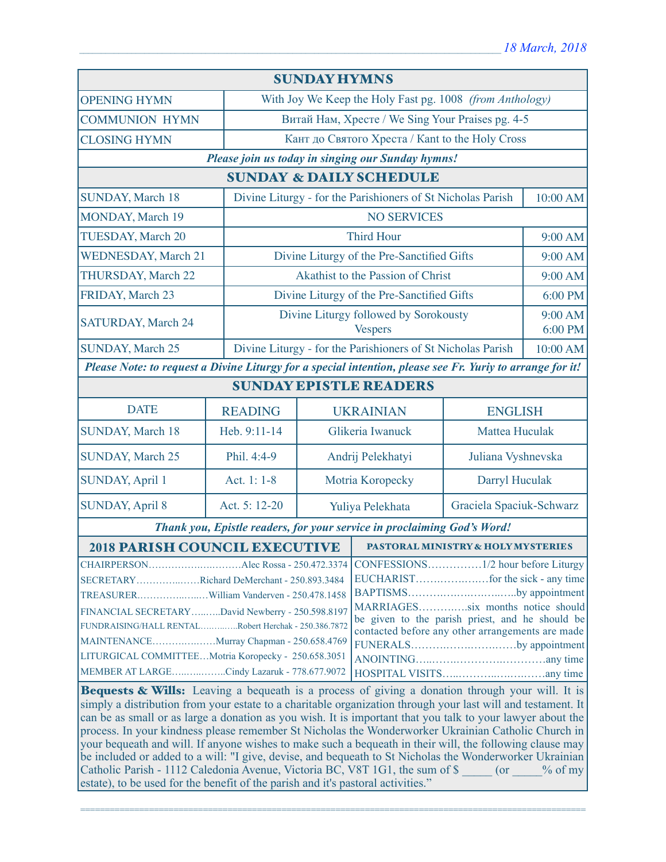| <b>SUNDAY HYMNS</b>                                                                                        |                                                         |                                                             |                                                             |                                    |          |
|------------------------------------------------------------------------------------------------------------|---------------------------------------------------------|-------------------------------------------------------------|-------------------------------------------------------------|------------------------------------|----------|
| <b>OPENING HYMN</b>                                                                                        |                                                         |                                                             | With Joy We Keep the Holy Fast pg. 1008 (from Anthology)    |                                    |          |
| <b>COMMUNION HYMN</b>                                                                                      |                                                         | Витай Нам, Хресте / We Sing Your Praises pg. 4-5            |                                                             |                                    |          |
| <b>CLOSING HYMN</b>                                                                                        |                                                         |                                                             | Кант до Святого Хреста / Kant to the Holy Cross             |                                    |          |
| Please join us today in singing our Sunday hymns!                                                          |                                                         |                                                             |                                                             |                                    |          |
| <b>SUNDAY &amp; DAILY SCHEDULE</b>                                                                         |                                                         |                                                             |                                                             |                                    |          |
| <b>SUNDAY, March 18</b>                                                                                    |                                                         | Divine Liturgy - for the Parishioners of St Nicholas Parish |                                                             | 10:00 AM                           |          |
| <b>MONDAY, March 19</b>                                                                                    | <b>NO SERVICES</b>                                      |                                                             |                                                             |                                    |          |
| <b>TUESDAY, March 20</b>                                                                                   |                                                         |                                                             | <b>Third Hour</b>                                           |                                    | 9:00 AM  |
| <b>WEDNESDAY, March 21</b>                                                                                 |                                                         |                                                             | Divine Liturgy of the Pre-Sanctified Gifts                  |                                    | 9:00 AM  |
| <b>THURSDAY, March 22</b>                                                                                  |                                                         |                                                             | Akathist to the Passion of Christ                           |                                    | 9:00 AM  |
| FRIDAY, March 23                                                                                           |                                                         | Divine Liturgy of the Pre-Sanctified Gifts                  |                                                             |                                    | 6:00 PM  |
| SATURDAY, March 24                                                                                         | Divine Liturgy followed by Sorokousty<br><b>Vespers</b> |                                                             |                                                             | 9:00 AM<br>6:00 PM                 |          |
| <b>SUNDAY, March 25</b>                                                                                    |                                                         |                                                             | Divine Liturgy - for the Parishioners of St Nicholas Parish |                                    | 10:00 AM |
| Please Note: to request a Divine Liturgy for a special intention, please see Fr. Yuriy to arrange for it!  |                                                         |                                                             |                                                             |                                    |          |
| <b>SUNDAY EPISTLE READERS</b>                                                                              |                                                         |                                                             |                                                             |                                    |          |
| <b>DATE</b>                                                                                                | <b>READING</b>                                          |                                                             |                                                             | <b>UKRAINIAN</b><br><b>ENGLISH</b> |          |
| SUNDAY, March 18                                                                                           | Heb. 9:11-14                                            | Glikeria Iwanuck<br>Mattea Huculak                          |                                                             |                                    |          |
| <b>SUNDAY, March 25</b>                                                                                    | Phil. 4:4-9                                             | Andrij Pelekhatyi                                           |                                                             | Juliana Vyshnevska                 |          |
| SUNDAY, April 1                                                                                            | Act. 1: 1-8                                             | Motria Koropecky                                            |                                                             | Darryl Huculak                     |          |
| <b>SUNDAY, April 8</b>                                                                                     | Act. 5: 12-20                                           | Yuliya Pelekhata                                            |                                                             | Graciela Spaciuk-Schwarz           |          |
| Thank you, Epistle readers, for your service in proclaiming God's Word!                                    |                                                         |                                                             |                                                             |                                    |          |
| <b>2018 PARISH COUNCIL EXECUTIVE</b>                                                                       |                                                         |                                                             | <b>PASTORAL MINISTRY &amp; HOLY MYSTERIES</b>               |                                    |          |
|                                                                                                            |                                                         |                                                             |                                                             | CONFESSIONS1/2 hour before Liturgy |          |
| SECRETARYRichard DeMerchant - 250.893.3484                                                                 |                                                         |                                                             |                                                             |                                    |          |
|                                                                                                            |                                                         |                                                             | BAPTISMSby appointment<br>MARRIAGESsix months notice should |                                    |          |
| FINANCIAL SECRETARYDavid Newberry - 250.598.8197                                                           |                                                         |                                                             | be given to the parish priest, and he should be             |                                    |          |
| FUNDRAISING/HALL RENTALRobert Herchak - 250.386.7872<br>MAINTENANCEMurray Chapman - 250.658.4769           |                                                         |                                                             | contacted before any other arrangements are made            |                                    |          |
| LITURGICAL COMMITTEEMotria Koropecky - 250.658.3051                                                        |                                                         |                                                             | FUNERALSby appointment                                      |                                    |          |
| MEMBER AT LARGECindy Lazaruk - 778.677.9072                                                                |                                                         |                                                             |                                                             |                                    |          |
| <b>Bequests &amp; Wills:</b> Leaving a bequeath is a process of giving a donation through your will. It is |                                                         |                                                             |                                                             |                                    |          |
|                                                                                                            |                                                         |                                                             |                                                             |                                    |          |

simply a distribution from your estate to a charitable organization through your last will and testament. It can be as small or as large a donation as you wish. It is important that you talk to your lawyer about the process. In your kindness please remember St Nicholas the Wonderworker Ukrainian Catholic Church in your bequeath and will. If anyone wishes to make such a bequeath in their will, the following clause may be included or added to a will: "I give, devise, and bequeath to St Nicholas the Wonderworker Ukrainian Catholic Parish - 1112 Caledonia Avenue, Victoria BC, V8T 1G1, the sum of \$ \_\_\_\_\_ (or \_\_\_\_\_% of my estate), to be used for the benefit of the parish and it's pastoral activities."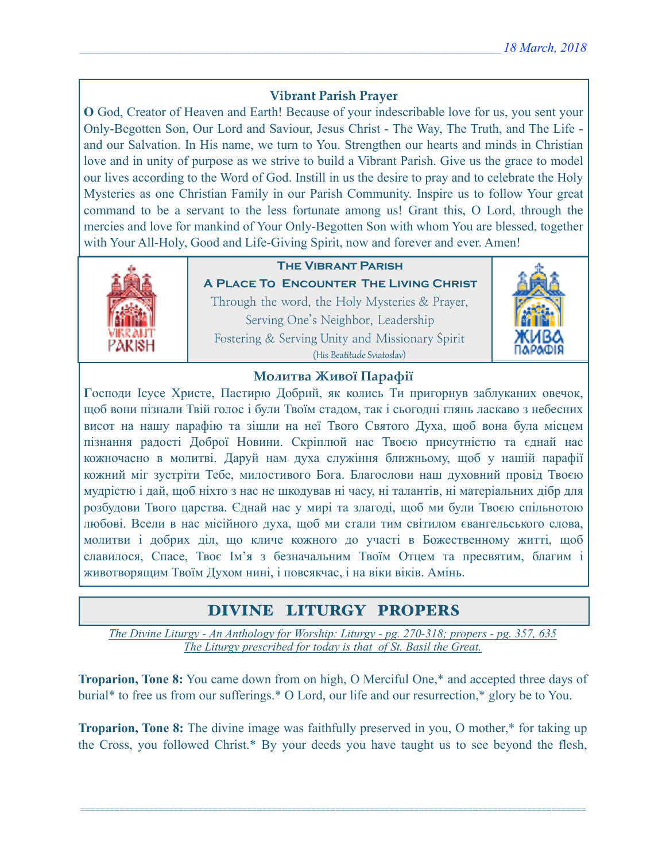## **Vibrant Parish Prayer**

**O** God, Creator of Heaven and Earth! Because of your indescribable love for us, you sent your Only-Begotten Son, Our Lord and Saviour, Jesus Christ - The Way, The Truth, and The Life and our Salvation. In His name, we turn to You. Strengthen our hearts and minds in Christian love and in unity of purpose as we strive to build a Vibrant Parish. Give us the grace to model our lives according to the Word of God. Instill in us the desire to pray and to celebrate the Holy Mysteries as one Christian Family in our Parish Community. Inspire us to follow Your great command to be a servant to the less fortunate among us! Grant this, O Lord, through the mercies and love for mankind of Your Only-Begotten Son with whom You are blessed, together with Your All-Holy, Good and Life-Giving Spirit, now and forever and ever. Amen!



## **The Vibrant Parish**

**A Place To Encounter The Living Christ** Through the word, the Holy Mysteries & Prayer, Serving One's Neighbor, Leadership Fostering & Serving Unity and Missionary Spirit (His Beatitude Sviatoslav)



## **Молитва Живої Парафії**

**Г**осподи Ісусе Христе, Пастирю Добрий, як колись Ти пригорнув заблуканих овечок, щоб вони пізнали Твій голос і були Твоїм стадом, так і сьогодні глянь ласкаво з небесних висот на нашу парафію та зішли на неї Твого Святого Духа, щоб вона була місцем пізнання радості Доброї Новини. Скріплюй нас Твоєю присутністю та єднай нас кожночасно в молитві. Даруй нам духа служіння ближньому, щоб у нашій парафії кожний міг зустріти Тебе, милостивого Бога. Благослови наш духовний провід Твоєю мудрістю і дай, щоб ніхто з нас не шкодував ні часу, ні талантів, ні матеріальних дібр для розбудови Твого царства. Єднай нас у мирі та злагоді, щоб ми були Твоєю спільнотою любові. Всели в нас місійного духа, щоб ми стали тим світилом євангельського слова, молитви і добрих діл, що кличе кожного до участі в Божественному житті, щоб славилося, Спасе, Твоє Ім'я з безначальним Твоїм Отцем та пресвятим, благим і животворящим Твоїм Духом нині, і повсякчас, і на віки віків. Амінь.

# DIVINE LITURGY PROPERS

*The Divine Liturgy - An Anthology for Worship: Liturgy - pg. 270-318; propers - pg. 357, 635 The Liturgy prescribed for today is that of St. Basil the Great.*

**Troparion, Tone 8:** You came down from on high, O Merciful One,\* and accepted three days of burial\* to free us from our sufferings.\* O Lord, our life and our resurrection,\* glory be to You.

**Troparion, Tone 8:** The divine image was faithfully preserved in you, O mother,\* for taking up the Cross, you followed Christ.\* By your deeds you have taught us to see beyond the flesh,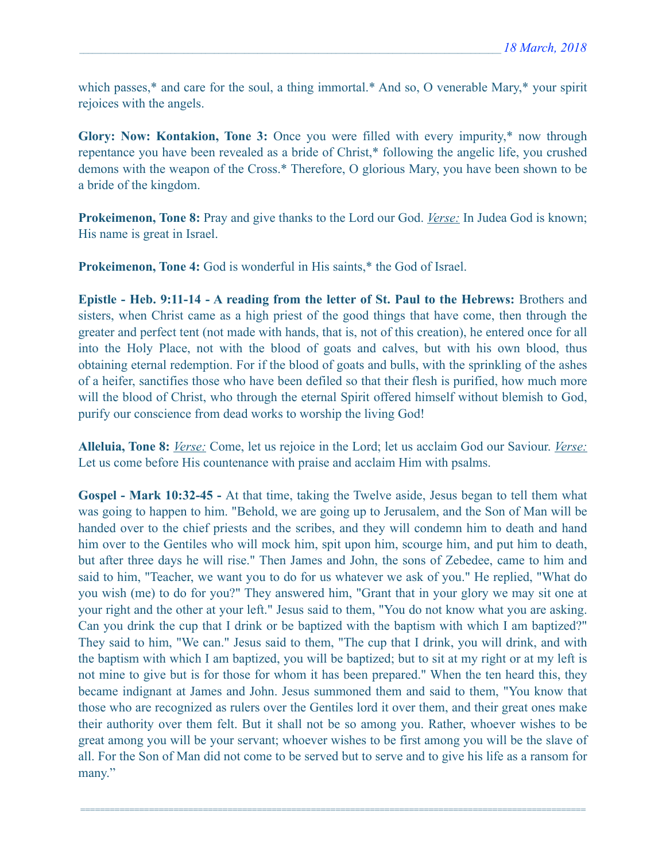which passes,<sup>\*</sup> and care for the soul, a thing immortal.<sup>\*</sup> And so, O venerable Mary,<sup>\*</sup> your spirit rejoices with the angels.

**Glory: Now: Kontakion, Tone 3:** Once you were filled with every impurity,\* now through repentance you have been revealed as a bride of Christ,\* following the angelic life, you crushed demons with the weapon of the Cross.\* Therefore, O glorious Mary, you have been shown to be a bride of the kingdom.

**Prokeimenon, Tone 8:** Pray and give thanks to the Lord our God. *Verse:* In Judea God is known; His name is great in Israel.

**Prokeimenon, Tone 4:** God is wonderful in His saints,<sup>\*</sup> the God of Israel.

**Epistle - Heb. 9:11-14 - A reading from the letter of St. Paul to the Hebrews:** Brothers and sisters, when Christ came as a high priest of the good things that have come, then through the greater and perfect tent (not made with hands, that is, not of this creation), he entered once for all into the Holy Place, not with the blood of goats and calves, but with his own blood, thus obtaining eternal redemption. For if the blood of goats and bulls, with the sprinkling of the ashes of a heifer, sanctifies those who have been defiled so that their flesh is purified, how much more will the blood of Christ, who through the eternal Spirit offered himself without blemish to God, purify our conscience from dead works to worship the living God!

**Alleluia, Tone 8:** *Verse:* Come, let us rejoice in the Lord; let us acclaim God our Saviour. *Verse:* Let us come before His countenance with praise and acclaim Him with psalms.

**Gospel - Mark 10:32-45 -** At that time, taking the Twelve aside, Jesus began to tell them what was going to happen to him. "Behold, we are going up to Jerusalem, and the Son of Man will be handed over to the chief priests and the scribes, and they will condemn him to death and hand him over to the Gentiles who will mock him, spit upon him, scourge him, and put him to death, but after three days he will rise." Then James and John, the sons of Zebedee, came to him and said to him, "Teacher, we want you to do for us whatever we ask of you." He replied, "What do you wish (me) to do for you?" They answered him, "Grant that in your glory we may sit one at your right and the other at your left." Jesus said to them, "You do not know what you are asking. Can you drink the cup that I drink or be baptized with the baptism with which I am baptized?" They said to him, "We can." Jesus said to them, "The cup that I drink, you will drink, and with the baptism with which I am baptized, you will be baptized; but to sit at my right or at my left is not mine to give but is for those for whom it has been prepared." When the ten heard this, they became indignant at James and John. Jesus summoned them and said to them, "You know that those who are recognized as rulers over the Gentiles lord it over them, and their great ones make their authority over them felt. But it shall not be so among you. Rather, whoever wishes to be great among you will be your servant; whoever wishes to be first among you will be the slave of all. For the Son of Man did not come to be served but to serve and to give his life as a ransom for many."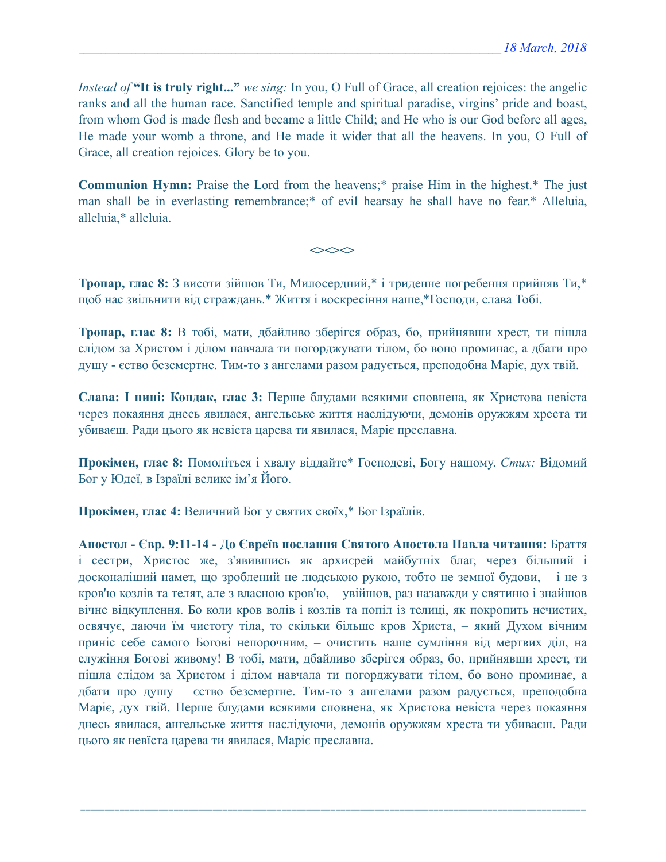*Instead of* **"It is truly right..."** *we sing:* In you, O Full of Grace, all creation rejoices: the angelic ranks and all the human race. Sanctified temple and spiritual paradise, virgins' pride and boast, from whom God is made flesh and became a little Child; and He who is our God before all ages, He made your womb a throne, and He made it wider that all the heavens. In you, O Full of Grace, all creation rejoices. Glory be to you.

**Communion Hymn:** Praise the Lord from the heavens;\* praise Him in the highest.\* The just man shall be in everlasting remembrance;\* of evil hearsay he shall have no fear.\* Alleluia, alleluia,\* alleluia.

 $\iff$ 

**Тропар, глас 8:** З висоти зійшов Ти, Милосердний,\* і триденне погребення прийняв Ти,\* щоб нас звільнити від страждань.\* Життя і воскресіння наше,\*Господи, слава Тобі.

**Тропар, глас 8:** В тобі, мати, дбайливо зберігся образ, бо, прийнявши хрест, ти пішла слідом за Христом і ділом навчала ти погорджувати тілом, бо воно проминає, а дбати про душу - єство безсмертне. Тим-то з ангелами разом радується, преподобна Маріє, дух твій.

**Слава: І нині: Кондак, глас 3:** Перше блудами всякими сповнена, як Христова невіста через покаяння днесь явилася, ангельське життя наслідуючи, демонів оружжям хреста ти убиваєш. Ради цього як невіста царева ти явилася, Маріє преславна.

**Прокімен, глас 8:** Помоліться і хвалу віддайте\* Господеві, Богу нашому. *Стих:* Відомий Бог у Юдеї, в Ізраїлі велике ім'я Його.

**Прокімен, глас 4:** Величний Бог у святих своїх,\* Бог Ізраїлів.

**Апостол - Євр. 9:11-14 - До Євреїв послання Святого Апостола Павла читання:** Браття і сестри, Христос же, з'явившись як архиєрей майбутніх благ, через більший і досконаліший намет, що зроблений не людською рукою, тобто не земної будови, – і не з кров'ю козлів та телят, але з власною кров'ю, – увійшов, раз назавжди у святиню і знайшов вічне відкуплення. Бо коли кров волів і козлів та попіл із телиці, як покропить нечистих, освячує, даючи їм чистоту тіла, то скільки більше кров Христа, – який Духом вічним приніс себе самого Богові непорочним, – очистить наше сумління від мертвих діл, на служіння Богові живому! В тобі, мати, дбайливо зберігся образ, бо, прийнявши хрест, ти пішла слідом за Христом і ділом навчала ти погорджувати тілом, бо воно проминає, а дбати про душу – єство безсмертне. Тим-то з ангелами разом радується, преподобна Маріє, дух твій. Перше блудами всякими сповнена, як Христова невіста через покаяння днесь явилася, ангельське життя наслідуючи, демонів оружжям хреста ти убиваєш. Ради цього як невїста царева ти явилася, Маріє преславна.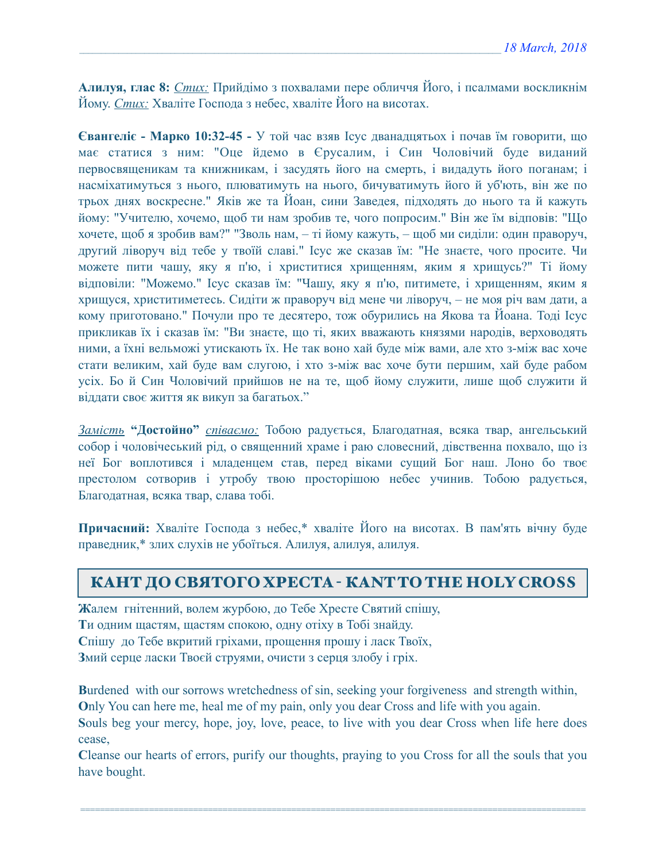**Алилуя, глас 8:** *Стих:* Прийдімо з похвалами пере обличчя Його, і псалмами воскликнім Йому. *Стих:* Хваліте Господа з небес, хваліте Його на висотах.

**Євангеліє - Марко 10:32-45 -** У той час взяв Ісус дванадцятьох і почав їм говорити, що має статися з ним: "Оце йдемо в Єрусалим, і Син Чоловічий буде виданий первосвященикам та книжникам, і засудять його на смерть, і видадуть його поганам; і насміхатимуться з нього, плюватимуть на нього, бичуватимуть його й уб'ють, він же по трьох днях воскресне." Яків же та Йоан, сини Заведея, підходять до нього та й кажуть йому: "Учителю, хочемо, щоб ти нам зробив те, чого попросим." Він же їм відповів: "Що хочете, щоб я зробив вам?" "Зволь нам, – ті йому кажуть, – щоб ми сиділи: один праворуч, другий ліворуч від тебе у твоїй славі." Ісус же сказав їм: "Не знаєте, чого просите. Чи можете пити чашу, яку я п'ю, і христитися хрищенням, яким я хрищусь?" Ті йому відповіли: "Можемо." Ісус сказав їм: "Чашу, яку я п'ю, питимете, і хрищенням, яким я хрищуся, христитиметесь. Сидіти ж праворуч від мене чи ліворуч, – не моя річ вам дати, а кому приготовано." Почули про те десятеро, тож обурились на Якова та Йоана. Тоді Ісус прикликав їх і сказав їм: "Ви знаєте, що ті, яких вважають князями народів, верховодять ними, а їхні вельможі утискають їх. Не так воно хай буде між вами, але хто з-між вас хоче стати великим, хай буде вам слугою, і хто з-між вас хоче бути першим, хай буде рабом усіх. Бо й Син Чоловічий прийшов не на те, щоб йому служити, лише щоб служити й віддати своє життя як викуп за багатьох."

*Замість* **"Достойно"** *співаємо:* Тобою радується, Благодатная, всяка твар, ангельський собор і чоловічеський рід, о священний храме і раю словесний, дівственна похвало, що із неї Бог воплотився і младенцем став, перед віками сущий Бог наш. Лоно бо твоє престолом сотворив і утробу твою просторішою небес учинив. Тобою радується, Благодатная, всяка твар, слава тобі.

**Причасний:** Хваліте Господа з небес,\* хваліте Його на висотах. В пам'ять вічну буде праведник,\* злих слухів не убоїться. Алилуя, алилуя, алилуя.

# КАНТ ДО СВЯТОГО ХРЕСТА- КАNT TO THE HOLY CROSS

**Ж**алем гнітенний, волем журбою, до Тебе Хресте Святий спішу, **Т**и одним щастям, щастям спокою, одну отіху в Тобі знайду. **С**пішу до Тебе вкритий гріхами, прощення прошу і ласк Твоїх, **З**мий серце ласки Твоєй струями, очисти з серця злобу і гріх.

**В**urdened with our sorrows wretchedness of sin, seeking your forgiveness and strength within, **O**nly You can here me, heal me of my pain, only you dear Cross and life with you again. **S**ouls beg your mercy, hope, joy, love, peace, to live with you dear Cross when life here does cease,

**C**leanse our hearts of errors, purify our thoughts, praying to you Cross for all the souls that you have bought.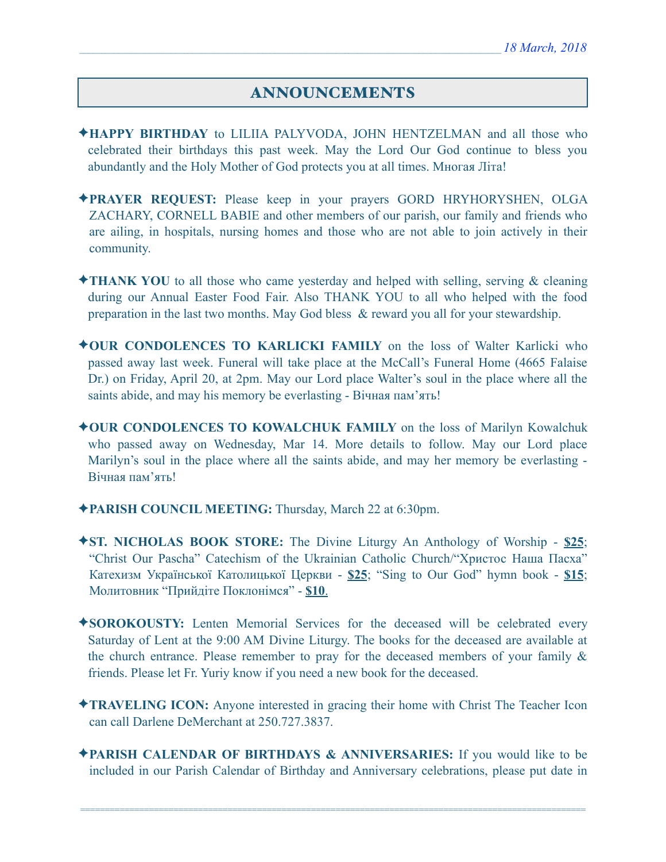# ANNOUNCEMENTS

- ✦**HAPPY BIRTHDAY** to LILIIA PALYVODA, JOHN HENTZELMAN and all those who celebrated their birthdays this past week. May the Lord Our God continue to bless you abundantly and the Holy Mother of God protects you at all times. Многая Літа!
- ✦**PRAYER REQUEST:** Please keep in your prayers GORD HRYHORYSHEN, OLGA ZACHARY, CORNELL BABIE and other members of our parish, our family and friends who are ailing, in hospitals, nursing homes and those who are not able to join actively in their community.
- ✦**THANK YOU** to all those who came yesterday and helped with selling, serving & cleaning during our Annual Easter Food Fair. Also THANK YOU to all who helped with the food preparation in the last two months. May God bless & reward you all for your stewardship.
- ✦**OUR CONDOLENCES TO KARLICKI FAMILY** on the loss of Walter Karlicki who passed away last week. Funeral will take place at the McCall's Funeral Home (4665 Falaise Dr.) on Friday, April 20, at 2pm. May our Lord place Walter's soul in the place where all the saints abide, and may his memory be everlasting - Вічная пам'ять!
- ✦**OUR CONDOLENCES TO KOWALCHUK FAMILY** on the loss of Marilyn Kowalchuk who passed away on Wednesday, Mar 14. More details to follow. May our Lord place Marilyn's soul in the place where all the saints abide, and may her memory be everlasting - Вічная пам'ять!
- ✦**PARISH COUNCIL MEETING:** Thursday, March 22 at 6:30pm.
- ✦**ST. NICHOLAS BOOK STORE:** The Divine Liturgy An Anthology of Worship **\$25**; "Christ Our Pascha" Catechism of the Ukrainian Catholic Church/"Христос Наша Пасха" Катехизм Української Католицької Церкви - **\$25**; "Sing to Our God" hymn book - **\$15**; Молитовник "Прийдіте Поклонімся" - **\$10**.
- ✦**SOROKOUSTY:** Lenten Memorial Services for the deceased will be celebrated every Saturday of Lent at the 9:00 AM Divine Liturgy. The books for the deceased are available at the church entrance. Please remember to pray for the deceased members of your family  $\&$ friends. Please let Fr. Yuriy know if you need a new book for the deceased.
- ✦**TRAVELING ICON:** Anyone interested in gracing their home with Christ The Teacher Icon can call Darlene DeMerchant at 250.727.3837.
- ✦**PARISH CALENDAR OF BIRTHDAYS & ANNIVERSARIES:** If you would like to be included in our Parish Calendar of Birthday and Anniversary celebrations, please put date in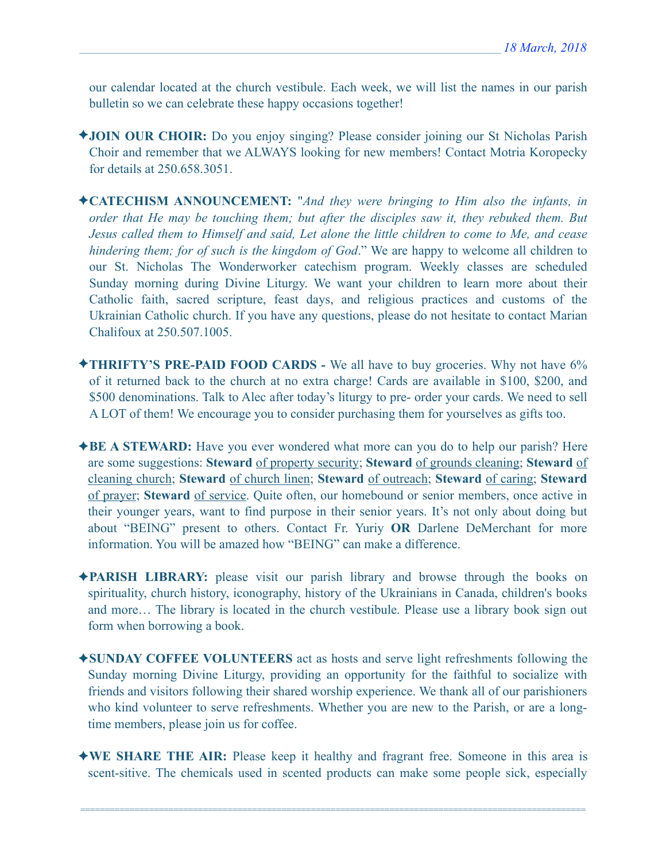our calendar located at the church vestibule. Each week, we will list the names in our parish bulletin so we can celebrate these happy occasions together!

- ✦**JOIN OUR CHOIR:** Do you enjoy singing? Please consider joining our St Nicholas Parish Choir and remember that we ALWAYS looking for new members! Contact Motria Koropecky for details at 250.658.3051.
- ✦**CATECHISM ANNOUNCEMENT:** "*And they were bringing to Him also the infants, in order that He may be touching them; but after the disciples saw it, they rebuked them. But Jesus called them to Himself and said, Let alone the little children to come to Me, and cease hindering them; for of such is the kingdom of God*." We are happy to welcome all children to our St. Nicholas The Wonderworker catechism program. Weekly classes are scheduled Sunday morning during Divine Liturgy. We want your children to learn more about their Catholic faith, sacred scripture, feast days, and religious practices and customs of the Ukrainian Catholic church. If you have any questions, please do not hesitate to contact Marian Chalifoux at 250.507.1005.
- ✦**THRIFTY'S PRE-PAID FOOD CARDS** We all have to buy groceries. Why not have 6% of it returned back to the church at no extra charge! Cards are available in \$100, \$200, and \$500 denominations. Talk to Alec after today's liturgy to pre- order your cards. We need to sell A LOT of them! We encourage you to consider purchasing them for yourselves as gifts too.
- ✦**BE A STEWARD:** Have you ever wondered what more can you do to help our parish? Here are some suggestions: **Steward** of property security; **Steward** of grounds cleaning; **Steward** of cleaning church; **Steward** of church linen; **Steward** of outreach; **Steward** of caring; **Steward** of prayer; **Steward** of service. Quite often, our homebound or senior members, once active in their younger years, want to find purpose in their senior years. It's not only about doing but about "BEING" present to others. Contact Fr. Yuriy **OR** Darlene DeMerchant for more information. You will be amazed how "BEING" can make a difference.
- ✦**PARISH LIBRARY:** please visit our parish library and browse through the books on spirituality, church history, iconography, history of the Ukrainians in Canada, children's books and more… The library is located in the church vestibule. Please use a library book sign out form when borrowing a book.
- ✦**SUNDAY COFFEE VOLUNTEERS** act as hosts and serve light refreshments following the Sunday morning Divine Liturgy, providing an opportunity for the faithful to socialize with friends and visitors following their shared worship experience. We thank all of our parishioners who kind volunteer to serve refreshments. Whether you are new to the Parish, or are a longtime members, please join us for coffee.
- ✦**WE SHARE THE AIR:** Please keep it healthy and fragrant free. Someone in this area is scent-sitive. The chemicals used in scented products can make some people sick, especially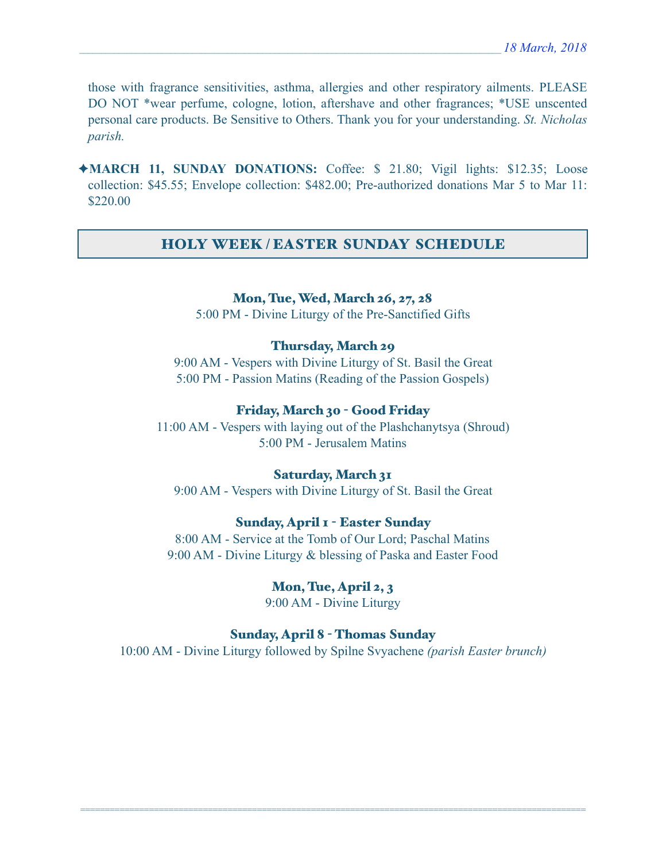those with fragrance sensitivities, asthma, allergies and other respiratory ailments. PLEASE DO NOT \*wear perfume, cologne, lotion, aftershave and other fragrances; \*USE unscented personal care products. Be Sensitive to Others. Thank you for your understanding. *St. Nicholas parish.* 

✦**MARCH 11, SUNDAY DONATIONS:** Coffee: \$ 21.80; Vigil lights: \$12.35; Loose collection: \$45.55; Envelope collection: \$482.00; Pre-authorized donations Mar 5 to Mar 11: \$220.00

## HOLY WEEK / EASTER SUNDAY SCHEDULE

### Mon, Tue, Wed, March 26, 27, 28

5:00 PM - Divine Liturgy of the Pre-Sanctified Gifts

### Thursday, March 29

9:00 AM - Vespers with Divine Liturgy of St. Basil the Great 5:00 PM - Passion Matins (Reading of the Passion Gospels)

### Friday, March 30 - Good Friday

11:00 AM - Vespers with laying out of the Plashchanytsya (Shroud) 5:00 PM - Jerusalem Matins

### Saturday, March 31

9:00 AM - Vespers with Divine Liturgy of St. Basil the Great

#### Sunday, April 1 - Easter Sunday

8:00 AM - Service at the Tomb of Our Lord; Paschal Matins 9:00 AM - Divine Liturgy & blessing of Paska and Easter Food

## Mon, Tue, April 2, 3

9:00 AM - Divine Liturgy

### Sunday, April 8 - Thomas Sunday

10:00 AM - Divine Liturgy followed by Spilne Svyachene *(parish Easter brunch)*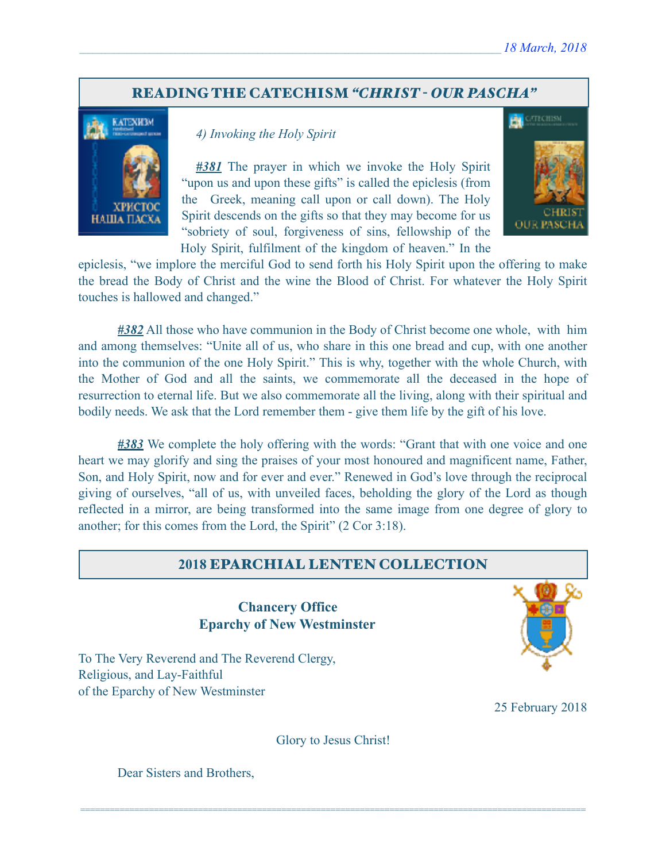## READING THE CATECHISM *"CHRIST - OUR PASCHA"*



 *4) Invoking the Holy Spirit*

*#381* The prayer in which we invoke the Holy Spirit "upon us and upon these gifts" is called the epiclesis (from the Greek, meaning call upon or call down). The Holy Spirit descends on the gifts so that they may become for us "sobriety of soul, forgiveness of sins, fellowship of the Holy Spirit, fulfilment of the kingdom of heaven." In the



epiclesis, "we implore the merciful God to send forth his Holy Spirit upon the offering to make the bread the Body of Christ and the wine the Blood of Christ. For whatever the Holy Spirit touches is hallowed and changed."

*#382* All those who have communion in the Body of Christ become one whole, with him and among themselves: "Unite all of us, who share in this one bread and cup, with one another into the communion of the one Holy Spirit." This is why, together with the whole Church, with the Mother of God and all the saints, we commemorate all the deceased in the hope of resurrection to eternal life. But we also commemorate all the living, along with their spiritual and bodily needs. We ask that the Lord remember them - give them life by the gift of his love.

*#383* We complete the holy offering with the words: "Grant that with one voice and one heart we may glorify and sing the praises of your most honoured and magnificent name, Father, Son, and Holy Spirit, now and for ever and ever." Renewed in God's love through the reciprocal giving of ourselves, "all of us, with unveiled faces, beholding the glory of the Lord as though reflected in a mirror, are being transformed into the same image from one degree of glory to another; for this comes from the Lord, the Spirit" (2 Cor 3:18).

## **2018** EPARCHIAL LENTEN COLLECTION

**Chancery Office Eparchy of New Westminster**

To The Very Reverend and The Reverend Clergy, Religious, and Lay-Faithful of the Eparchy of New Westminster



25 February 2018

Glory to Jesus Christ!

=======================================================================================================

Dear Sisters and Brothers,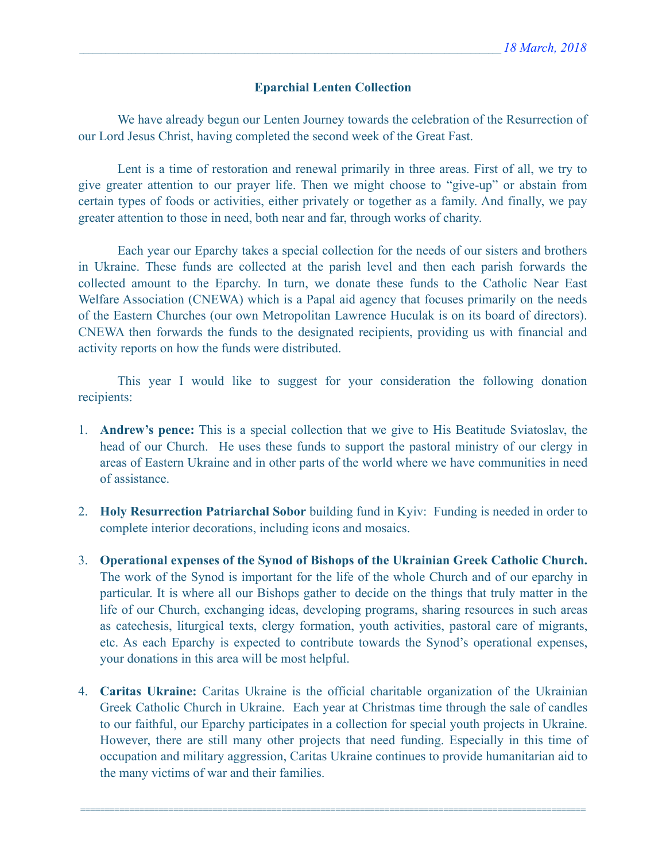## **Eparchial Lenten Collection**

 We have already begun our Lenten Journey towards the celebration of the Resurrection of our Lord Jesus Christ, having completed the second week of the Great Fast.

 Lent is a time of restoration and renewal primarily in three areas. First of all, we try to give greater attention to our prayer life. Then we might choose to "give-up" or abstain from certain types of foods or activities, either privately or together as a family. And finally, we pay greater attention to those in need, both near and far, through works of charity.

 Each year our Eparchy takes a special collection for the needs of our sisters and brothers in Ukraine. These funds are collected at the parish level and then each parish forwards the collected amount to the Eparchy. In turn, we donate these funds to the Catholic Near East Welfare Association (CNEWA) which is a Papal aid agency that focuses primarily on the needs of the Eastern Churches (our own Metropolitan Lawrence Huculak is on its board of directors). CNEWA then forwards the funds to the designated recipients, providing us with financial and activity reports on how the funds were distributed.

 This year I would like to suggest for your consideration the following donation recipients:

- 1. **Andrew's pence:** This is a special collection that we give to His Beatitude Sviatoslav, the head of our Church. He uses these funds to support the pastoral ministry of our clergy in areas of Eastern Ukraine and in other parts of the world where we have communities in need of assistance.
- 2. **Holy Resurrection Patriarchal Sobor** building fund in Kyiv: Funding is needed in order to complete interior decorations, including icons and mosaics.
- 3. **Operational expenses of the Synod of Bishops of the Ukrainian Greek Catholic Church.** The work of the Synod is important for the life of the whole Church and of our eparchy in particular. It is where all our Bishops gather to decide on the things that truly matter in the life of our Church, exchanging ideas, developing programs, sharing resources in such areas as catechesis, liturgical texts, clergy formation, youth activities, pastoral care of migrants, etc. As each Eparchy is expected to contribute towards the Synod's operational expenses, your donations in this area will be most helpful.
- 4. **Caritas Ukraine:** Caritas Ukraine is the official charitable organization of the Ukrainian Greek Catholic Church in Ukraine. Each year at Christmas time through the sale of candles to our faithful, our Eparchy participates in a collection for special youth projects in Ukraine. However, there are still many other projects that need funding. Especially in this time of occupation and military aggression, Caritas Ukraine continues to provide humanitarian aid to the many victims of war and their families.